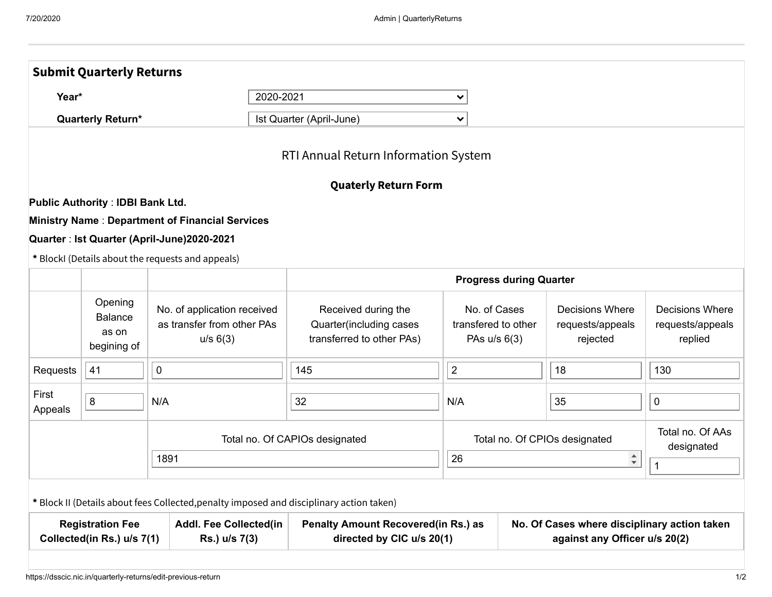|                                                   | 2020-2021                                                             |                                                                                                                                                                                                                                             | $\checkmark$                                                                                                                                           |                                                                                                                                                      |                                                        |                                                                                                                    |  |
|---------------------------------------------------|-----------------------------------------------------------------------|---------------------------------------------------------------------------------------------------------------------------------------------------------------------------------------------------------------------------------------------|--------------------------------------------------------------------------------------------------------------------------------------------------------|------------------------------------------------------------------------------------------------------------------------------------------------------|--------------------------------------------------------|--------------------------------------------------------------------------------------------------------------------|--|
| <b>Quarterly Return*</b>                          |                                                                       |                                                                                                                                                                                                                                             | $\checkmark$                                                                                                                                           |                                                                                                                                                      |                                                        |                                                                                                                    |  |
|                                                   |                                                                       |                                                                                                                                                                                                                                             |                                                                                                                                                        |                                                                                                                                                      |                                                        |                                                                                                                    |  |
|                                                   |                                                                       |                                                                                                                                                                                                                                             |                                                                                                                                                        |                                                                                                                                                      |                                                        |                                                                                                                    |  |
|                                                   |                                                                       |                                                                                                                                                                                                                                             |                                                                                                                                                        |                                                                                                                                                      |                                                        |                                                                                                                    |  |
|                                                   |                                                                       |                                                                                                                                                                                                                                             |                                                                                                                                                        |                                                                                                                                                      |                                                        |                                                                                                                    |  |
|                                                   |                                                                       |                                                                                                                                                                                                                                             |                                                                                                                                                        |                                                                                                                                                      |                                                        |                                                                                                                    |  |
|                                                   |                                                                       |                                                                                                                                                                                                                                             |                                                                                                                                                        |                                                                                                                                                      |                                                        |                                                                                                                    |  |
|                                                   |                                                                       |                                                                                                                                                                                                                                             |                                                                                                                                                        |                                                                                                                                                      |                                                        |                                                                                                                    |  |
| Opening<br><b>Balance</b><br>as on<br>begining of | No. of application received<br>as transfer from other PAs<br>u/s 6(3) | Received during the<br>Quarter(including cases<br>transferred to other PAs)                                                                                                                                                                 | No. of Cases<br>transfered to other<br>PAs u/s 6(3)                                                                                                    |                                                                                                                                                      | <b>Decisions Where</b><br>requests/appeals<br>rejected | <b>Decisions Where</b><br>requests/appeals<br>replied                                                              |  |
| 41                                                | $\mathbf 0$                                                           | 145                                                                                                                                                                                                                                         | $\overline{2}$                                                                                                                                         |                                                                                                                                                      | 18                                                     | 130                                                                                                                |  |
| 8                                                 | N/A                                                                   | 32                                                                                                                                                                                                                                          | N/A                                                                                                                                                    |                                                                                                                                                      | 35                                                     | 0                                                                                                                  |  |
|                                                   |                                                                       |                                                                                                                                                                                                                                             |                                                                                                                                                        |                                                                                                                                                      |                                                        | Total no. Of AAs<br>designated                                                                                     |  |
|                                                   |                                                                       |                                                                                                                                                                                                                                             |                                                                                                                                                        |                                                                                                                                                      |                                                        | $\mathbf{1}$                                                                                                       |  |
|                                                   |                                                                       |                                                                                                                                                                                                                                             |                                                                                                                                                        |                                                                                                                                                      |                                                        |                                                                                                                    |  |
| <b>Registration Fee</b>                           | <b>Addl. Fee Collected(in</b><br>Rs.) u/s 7(3)                        |                                                                                                                                                                                                                                             | No. Of Cases where disciplinary action taken<br>against any Officer u/s 20(2)                                                                          |                                                                                                                                                      |                                                        |                                                                                                                    |  |
|                                                   |                                                                       | <b>Public Authority: IDBI Bank Ltd.</b><br><b>Ministry Name: Department of Financial Services</b><br>Quarter : Ist Quarter (April-June)2020-2021<br>* BlockI (Details about the requests and appeals)<br>1891<br>Collected(in Rs.) u/s 7(1) | Ist Quarter (April-June)<br>Total no. Of CAPIOs designated<br>* Block II (Details about fees Collected, penalty imposed and disciplinary action taken) | RTI Annual Return Information System<br><b>Quaterly Return Form</b><br>26<br><b>Penalty Amount Recovered(in Rs.) as</b><br>directed by CIC u/s 20(1) |                                                        | <b>Progress during Quarter</b><br>Total no. Of CPIOs designated<br>$\stackrel{\blacktriangle}{\blacktriangledown}$ |  |